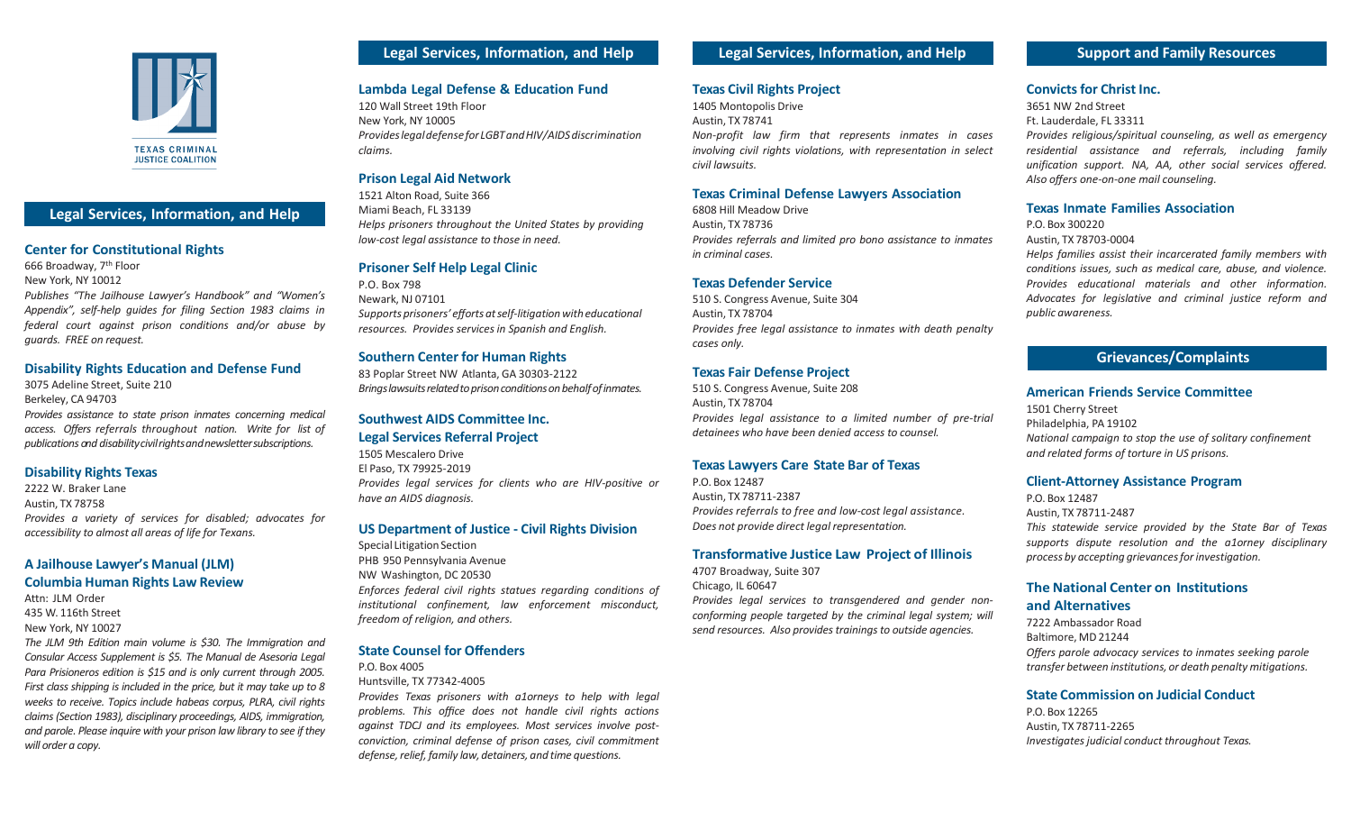

### **Legal Services, Information, and Help**

### **Center for Constitutional Rights**

666 Broadway, 7th Floor New York, NY 10012

*Publishes "The Jailhouse Lawyer's Handbook" and "Women's Appendix", self-help guides for filing Section 1983 claims in federal court against prison conditions and/or abuse by guards. FREE on request.*

### **Disability Rights Education and Defense Fund**

3075 Adeline Street, Suite 210 Berkeley, CA 94703

*Provides assistance to state prison inmates concerning medical access. Offers referrals throughout nation. Write for list of publications ond disabilitycivilrightsandnewslettersubscriptions.*

### **Disability Rights Texas**

2222 W. Braker Lane Austin, TX 78758 *Provides a variety of services for disabled; advocates for accessibility to almost all areas of life for Texans.*

### **A Jailhouse Lawyer's Manual (JLM) Columbia Human Rights Law Review**

Attn: JLM Order 435 W. 116th Street New York, NY 10027

*The JLM 9th Edition main volume is \$30. The Immigration and Consular Access Supplement is \$5. The Manual de Asesoria Legal Para Prisioneros edition is \$15 and is only current through 2005. First class shipping is included in the price, but it may take up to 8 weeks to receive. Topics include habeas corpus, PLRA, civil rights claims (Section 1983), disciplinary proceedings, AIDS, immigration, and parole. Please inquire with your prison law library to see if they will order a copy.*

# **Legal Services, Information, and Help**

### **Lambda Legal Defense & Education Fund**

120 Wall Street 19th Floor New York, NY 10005 *ProvideslegaldefenseforLGBTandHIV/AIDSdiscrimination claims.*

### **Prison Legal Aid Network**

1521 Alton Road, Suite 366 Miami Beach, FL 33139 *Helps prisoners throughout the United States by providing low-cost legal assistance to those in need.*

### **Prisoner Self Help Legal Clinic**

P.O. Box 798 Newark, NJ 07101 *Supportsprisoners' effortsatself-litigationwitheducational resources. Provides services in Spanish and English.*

### **Southern Center for Human Rights**

83 Poplar Street NW Atlanta, GA 30303-2122 *Bringslawsuitsrelatedtoprisonconditionsonbehalfofinmates.*

### **Southwest AIDS Committee Inc.**

### **Legal Services Referral Project**

1505 Mescalero Drive El Paso, TX 79925-2019 *Provides legal services for clients who are HIV-positive or have an AIDS diagnosis.*

### **US Department of Justice - Civil Rights Division**

Special Litigation Section PHB 950 Pennsylvania Avenue NW Washington, DC 20530 *Enforces federal civil rights statues regarding conditions of institutional confinement, law enforcement misconduct, freedom of religion, and others.*

### **State Counsel for Offenders**

P.O. Box 4005 Huntsville, TX 77342-4005

*Provides Texas prisoners with a1orneys to help with legal problems. This office does not handle civil rights actions against TDCJ and its employees. Most services involve postconviction, criminal defense of prison cases, civil commitment defense, relief, family law, detainers, and time questions.* 

# **Legal Services, Information, and Help**

### **Texas Civil Rights Project**

1405 Montopolis Drive Austin, TX 78741 *Non-profit law firm that represents inmates in cases involving civil rights violations, with representation in select civil lawsuits.*

### **Texas Criminal Defense Lawyers Association**

6808 Hill Meadow Drive Austin, TX 78736 *Provides referrals and limited pro bono assistance to inmates in criminal cases.*

### **Texas Defender Service**

510 S. Congress Avenue, Suite 304 Austin, TX 78704 *Provides free legal assistance to inmates with death penalty cases only.*

### **Texas Fair Defense Project**

510 S. Congress Avenue, Suite 208 Austin, TX 78704 *Provides legal assistance to a limited number of pre-trial detainees who have been denied access to counsel.*

### **Texas Lawyers Care State Bar of Texas**

P.O. Box 12487 Austin, TX 78711-2387 *Provides referrals to free and low-cost legal assistance. Does not provide direct legal representation.*

### **Transformative Justice Law Project of Illinois**

4707 Broadway, Suite 307

Chicago, IL 60647

*Provides legal services to transgendered and gender nonconforming people targeted by the criminal legal system; will send resources. Also providestrainingsto outside agencies.*

# **Support and Family Resources**

### **Convicts for Christ Inc.**

3651 NW 2nd Street Ft. Lauderdale, FL 33311

*Provides religious/spiritual counseling, as well as emergency residential assistance and referrals, including family unification support. NA, AA, other social services offered. Also offers one-on-one mail counseling.*

### **Texas Inmate Families Association**

P.O. Box 300220 Austin, TX 78703-0004

*Helps families assist their incarcerated family members with conditions issues, such as medical care, abuse, and violence. Provides educational materials and other information. Advocates for legislative and criminal justice reform and public awareness.*

# **Grievances/Complaints**

### **American Friends Service Committee**

1501 Cherry Street Philadelphia, PA 19102 *National campaign to stop the use of solitary confinement and related forms of torture in US prisons.*

### **Client-Attorney Assistance Program**

P.O. Box 12487 Austin, TX 78711-2487 *This statewide service provided by the State Bar of Texas supports dispute resolution and the a1orney disciplinary process by accepting grievancesforinvestigation.*

### **The National Center on Institutions and Alternatives**

7222 Ambassador Road Baltimore, MD 21244 *Offers parole advocacy services to inmates seeking parole transfer between institutions, or death penalty mitigations.*

### **State Commission on Judicial Conduct**

P.O. Box 12265 Austin, TX 78711-2265 *Investigatesjudicial conduct throughout Texas.*